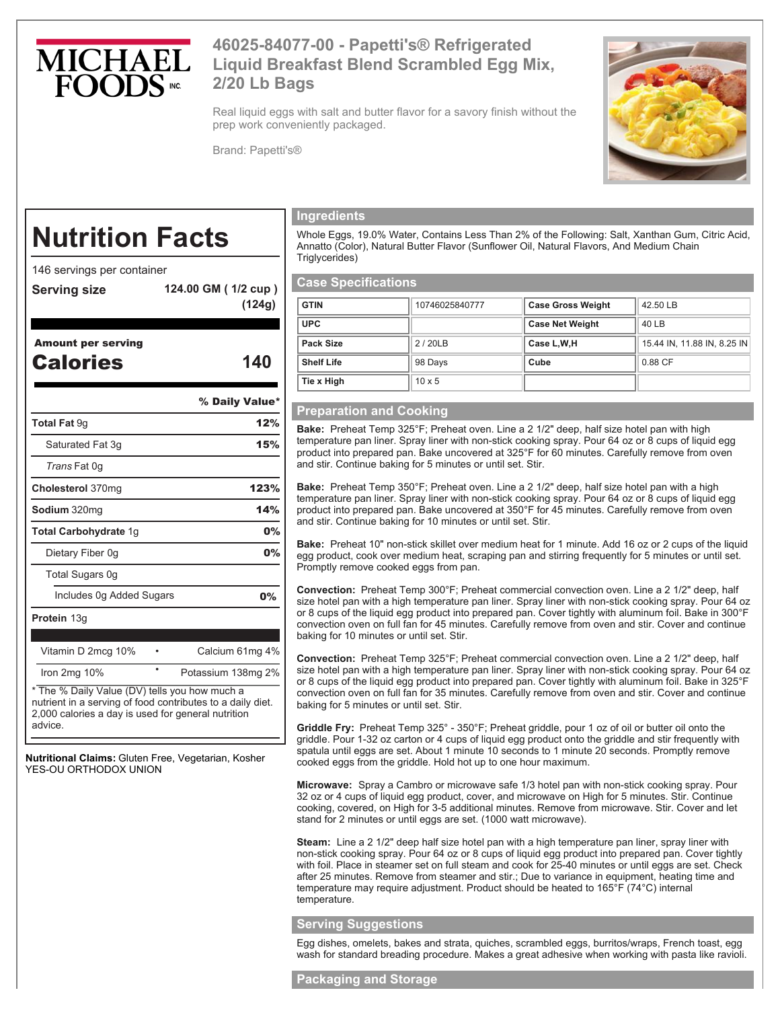

## **46025-84077-00 - Papetti's® Refrigerated Liquid Breakfast Blend Scrambled Egg Mix, 2/20 Lb Bags**

Real liquid eggs with salt and butter flavor for a savory finish without the prep work conveniently packaged.

Brand: Papetti's®



# **Nutrition Facts**

146 servings per container

**Serving size 124.00 GM ( 1/2 cup ) (124g)** 

Amount per serving

Calories **140**

% Daily Value\*

| <b>Total Fat 9g</b>                                                                                         | 12%                |  |
|-------------------------------------------------------------------------------------------------------------|--------------------|--|
| Saturated Fat 3g<br>15%                                                                                     |                    |  |
| <i>Trans</i> Fat 0q                                                                                         |                    |  |
| Cholesterol 370mg                                                                                           | 123%               |  |
| <b>Sodium</b> 320mg                                                                                         | 14%                |  |
| Total Carbohydrate 1g                                                                                       | 0%                 |  |
| Dietary Fiber 0g                                                                                            | 0%                 |  |
| Total Sugars 0g                                                                                             |                    |  |
| Includes 0g Added Sugars                                                                                    | $0\%$              |  |
| <b>Protein 13g</b>                                                                                          |                    |  |
| Vitamin D 2mcg 10%                                                                                          | Calcium 61mg 4%    |  |
| Iron $2mg$ 10%                                                                                              | Potassium 138mg 2% |  |
| * The % Daily Value (DV) tells you how much a<br>nutrient in a serving of food contributes to a daily diet. |                    |  |

2,000 calories a day is used for general nutrition advice.

**Nutritional Claims:** Gluten Free, Vegetarian, Kosher YES-OU ORTHODOX UNION

#### **Ingredients**

Whole Eggs, 19.0% Water, Contains Less Than 2% of the Following: Salt, Xanthan Gum, Citric Acid, Annatto (Color), Natural Butter Flavor (Sunflower Oil, Natural Flavors, And Medium Chain Triglycerides)

### **Case Specifications**

| <b>GTIN</b>       | 10746025840777 | <b>Case Gross Weight</b> | 42.50 LB                    |
|-------------------|----------------|--------------------------|-----------------------------|
| <b>UPC</b>        |                | <b>Case Net Weight</b>   | 40 LB                       |
| Pack Size         | 2/20LB         | Case L,W,H               | 15.44 IN, 11.88 IN, 8.25 IN |
| <b>Shelf Life</b> | 98 Days        | Cube                     | 0.88 CF                     |
| Tie x High        | $10 \times 5$  |                          |                             |

#### **Preparation and Cooking**

**Bake:** Preheat Temp 325°F; Preheat oven. Line a 2 1/2" deep, half size hotel pan with high temperature pan liner. Spray liner with non-stick cooking spray. Pour 64 oz or 8 cups of liquid egg product into prepared pan. Bake uncovered at 325°F for 60 minutes. Carefully remove from oven and stir. Continue baking for 5 minutes or until set. Stir.

**Bake:** Preheat Temp 350°F; Preheat oven. Line a 2 1/2" deep, half size hotel pan with a high temperature pan liner. Spray liner with non-stick cooking spray. Pour 64 oz or 8 cups of liquid egg product into prepared pan. Bake uncovered at 350°F for 45 minutes. Carefully remove from oven and stir. Continue baking for 10 minutes or until set. Stir.

**Bake:** Preheat 10" non-stick skillet over medium heat for 1 minute. Add 16 oz or 2 cups of the liquid egg product, cook over medium heat, scraping pan and stirring frequently for 5 minutes or until set. Promptly remove cooked eggs from pan.

**Convection:** Preheat Temp 300°F; Preheat commercial convection oven. Line a 2 1/2" deep, half size hotel pan with a high temperature pan liner. Spray liner with non-stick cooking spray. Pour 64 oz or 8 cups of the liquid egg product into prepared pan. Cover tightly with aluminum foil. Bake in 300°F convection oven on full fan for 45 minutes. Carefully remove from oven and stir. Cover and continue baking for 10 minutes or until set. Stir.

**Convection:** Preheat Temp 325°F; Preheat commercial convection oven. Line a 2 1/2" deep, half size hotel pan with a high temperature pan liner. Spray liner with non-stick cooking spray. Pour 64 oz or 8 cups of the liquid egg product into prepared pan. Cover tightly with aluminum foil. Bake in 325°F convection oven on full fan for 35 minutes. Carefully remove from oven and stir. Cover and continue baking for 5 minutes or until set. Stir.

**Griddle Fry:** Preheat Temp 325° - 350°F; Preheat griddle, pour 1 oz of oil or butter oil onto the griddle. Pour 1-32 oz carton or 4 cups of liquid egg product onto the griddle and stir frequently with spatula until eggs are set. About 1 minute 10 seconds to 1 minute 20 seconds. Promptly remove cooked eggs from the griddle. Hold hot up to one hour maximum.

**Microwave:** Spray a Cambro or microwave safe 1/3 hotel pan with non-stick cooking spray. Pour 32 oz or 4 cups of liquid egg product, cover, and microwave on High for 5 minutes. Stir. Continue cooking, covered, on High for 3-5 additional minutes. Remove from microwave. Stir. Cover and let stand for 2 minutes or until eggs are set. (1000 watt microwave).

**Steam:** Line a 2 1/2" deep half size hotel pan with a high temperature pan liner, spray liner with non-stick cooking spray. Pour 64 oz or 8 cups of liquid egg product into prepared pan. Cover tightly with foil. Place in steamer set on full steam and cook for 25-40 minutes or until eggs are set. Check after 25 minutes. Remove from steamer and stir.; Due to variance in equipment, heating time and temperature may require adjustment. Product should be heated to 165°F (74°C) internal temperature.

#### **Serving Suggestions**

Egg dishes, omelets, bakes and strata, quiches, scrambled eggs, burritos/wraps, French toast, egg wash for standard breading procedure. Makes a great adhesive when working with pasta like ravioli.

#### **Packaging and Storage**